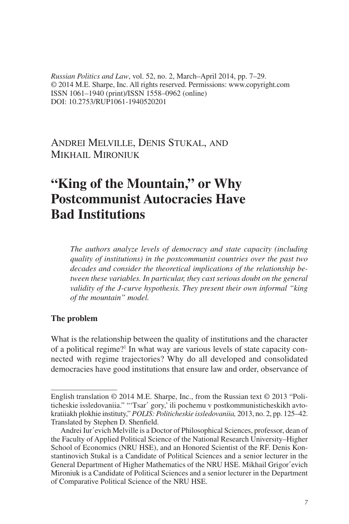*Russian Politics and Law*, vol. 52, no. 2, March–April 2014, pp. 7–29. © 2014 M.E. Sharpe, Inc. All rights reserved. Permissions: www.copyright.com ISSN 1061–1940 (print)/ISSN 1558–0962 (online) DOI: 10.2753/RUP1061-1940520201

Andrei Melville, Denis Stukal, and Mikhail Mironiuk

# **"King of the Mountain," or Why Postcommunist Autocracies Have Bad Institutions**

*The authors analyze levels of democracy and state capacity (including quality of institutions) in the postcommunist countries over the past two decades and consider the theoretical implications of the relationship between these variables. In particular, they cast serious doubt on the general validity of the J-curve hypothesis. They present their own informal "king of the mountain" model.*

## **The problem**

What is the relationship between the quality of institutions and the character of a political regime?<sup>1</sup> In what way are various levels of state capacity connected with regime trajectories? Why do all developed and consolidated democracies have good institutions that ensure law and order, observance of

English translation © 2014 M.E. Sharpe, Inc., from the Russian text © 2013 "Politicheskie issledovaniia." "'Tsar' gory,' ili pochemu v postkommunisticheskikh avtokratiiakh plokhie instituty," *POLIS: Politicheskie issledovaniia,* 2013, no. 2, pp. 125–42. Translated by Stephen D. Shenfield.

Andrei Iur'evich Melville is a Doctor of Philosophical Sciences, professor, dean of the Faculty of Applied Political Science of the National Research University–Higher School of Economics (NRU HSE), and an Honored Scientist of the RF. Denis Konstantinovich Stukal is a Candidate of Political Sciences and a senior lecturer in the General Department of Higher Mathematics of the NRU HSE. Mikhail Grigor'evich Mironiuk is a Candidate of Political Sciences and a senior lecturer in the Department of Comparative Political Science of the NRU HSE.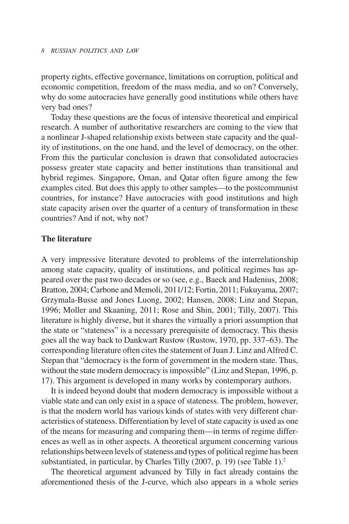property rights, effective governance, limitations on corruption, political and economic competition, freedom of the mass media, and so on? Conversely, why do some autocracies have generally good institutions while others have very bad ones?

Today these questions are the focus of intensive theoretical and empirical research. A number of authoritative researchers are coming to the view that a nonlinear J-shaped relationship exists between state capacity and the quality of institutions, on the one hand, and the level of democracy, on the other. From this the particular conclusion is drawn that consolidated autocracies possess greater state capacity and better institutions than transitional and hybrid regimes. Singapore, Oman, and Qatar often figure among the few examples cited. But does this apply to other samples—to the postcommunist countries, for instance? Have autocracies with good institutions and high state capacity arisen over the quarter of a century of transformation in these countries? And if not, why not?

## **The literature**

A very impressive literature devoted to problems of the interrelationship among state capacity, quality of institutions, and political regimes has appeared over the past two decades or so (see, e.g., Baeck and Hadenius, 2008; Bratton, 2004; Carbone and Memoli, 2011/12; Fortin, 2011; Fukuyama, 2007; Grzymala-Busse and Jones Luong, 2002; Hansen, 2008; Linz and Stepan, 1996; Moller and Skaaning, 2011; Rose and Shin, 2001; Tilly, 2007). This literature is highly diverse, but it shares the virtually a priori assumption that the state or "stateness" is a necessary prerequisite of democracy. This thesis goes all the way back to Dankwart Rustow (Rustow, 1970, pp. 337–63). The corresponding literature often cites the statement of Juan J. Linz and Alfred C. Stepan that "democracy is the form of government in the modern state. Thus, without the state modern democracy is impossible" (Linz and Stepan, 1996, p. 17). This argument is developed in many works by contemporary authors.

It is indeed beyond doubt that modern democracy is impossible without a viable state and can only exist in a space of stateness. The problem, however, is that the modern world has various kinds of states with very different characteristics of stateness. Differentiation by level of state capacity is used as one of the means for measuring and comparing them—in terms of regime differences as well as in other aspects. A theoretical argument concerning various relationships between levels of stateness and types of political regime has been substantiated, in particular, by Charles Tilly (2007, p. 19) (see Table 1).<sup>2</sup>

The theoretical argument advanced by Tilly in fact already contains the aforementioned thesis of the J-curve, which also appears in a whole series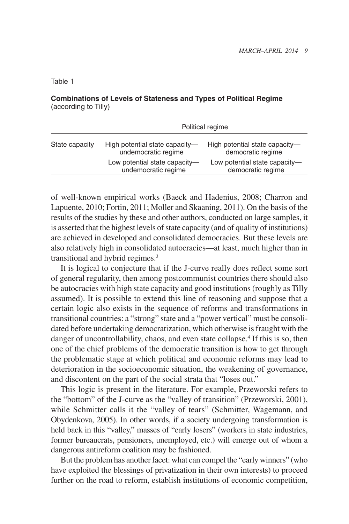#### Table 1

## **Combinations of Levels of Stateness and Types of Political Regime**  (according to Tilly)

|                                | Political regime               |
|--------------------------------|--------------------------------|
| High potential state capacity- | High potential state capacity- |
| undemocratic regime            | democratic regime              |
| Low potential state capacity-  | Low potential state capacity-  |
| undemocratic regime            | democratic regime              |
|                                |                                |

of well-known empirical works (Baeck and Hadenius, 2008; Charron and Lapuente, 2010; Fortin, 2011; Moller and Skaaning, 2011). On the basis of the results of the studies by these and other authors, conducted on large samples, it is asserted that the highest levels of state capacity (and of quality of institutions) are achieved in developed and consolidated democracies. But these levels are also relatively high in consolidated autocracies—at least, much higher than in transitional and hybrid regimes.<sup>3</sup>

It is logical to conjecture that if the J-curve really does reflect some sort of general regularity, then among postcommunist countries there should also be autocracies with high state capacity and good institutions (roughly as Tilly assumed). It is possible to extend this line of reasoning and suppose that a certain logic also exists in the sequence of reforms and transformations in transitional countries: a "strong" state and a "power vertical" must be consolidated before undertaking democratization, which otherwise is fraught with the danger of uncontrollability, chaos, and even state collapse.<sup>4</sup> If this is so, then one of the chief problems of the democratic transition is how to get through the problematic stage at which political and economic reforms may lead to deterioration in the socioeconomic situation, the weakening of governance, and discontent on the part of the social strata that "loses out."

This logic is present in the literature. For example, Przeworski refers to the "bottom" of the J-curve as the "valley of transition" (Przeworski, 2001), while Schmitter calls it the "valley of tears" (Schmitter, Wagemann, and Obydenkova, 2005). In other words, if a society undergoing transformation is held back in this "valley," masses of "early losers" (workers in state industries, former bureaucrats, pensioners, unemployed, etc.) will emerge out of whom a dangerous antireform coalition may be fashioned.

But the problem has another facet: what can compel the "early winners" (who have exploited the blessings of privatization in their own interests) to proceed further on the road to reform, establish institutions of economic competition,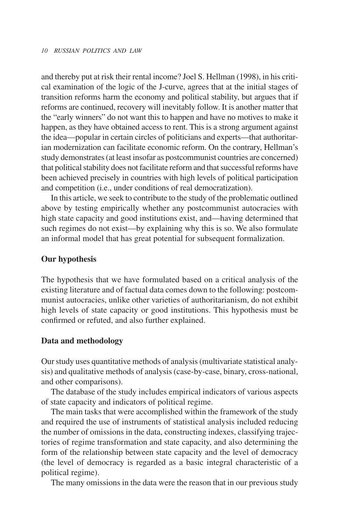and thereby put at risk their rental income? Joel S. Hellman (1998), in his critical examination of the logic of the J-curve, agrees that at the initial stages of transition reforms harm the economy and political stability, but argues that if reforms are continued, recovery will inevitably follow. It is another matter that the "early winners" do not want this to happen and have no motives to make it happen, as they have obtained access to rent. This is a strong argument against the idea—popular in certain circles of politicians and experts—that authoritarian modernization can facilitate economic reform. On the contrary, Hellman's study demonstrates (at least insofar as postcommunist countries are concerned) that political stability does not facilitate reform and that successful reforms have been achieved precisely in countries with high levels of political participation and competition (i.e., under conditions of real democratization).

In this article, we seek to contribute to the study of the problematic outlined above by testing empirically whether any postcommunist autocracies with high state capacity and good institutions exist, and—having determined that such regimes do not exist—by explaining why this is so. We also formulate an informal model that has great potential for subsequent formalization.

# **Our hypothesis**

The hypothesis that we have formulated based on a critical analysis of the existing literature and of factual data comes down to the following: postcommunist autocracies, unlike other varieties of authoritarianism, do not exhibit high levels of state capacity or good institutions. This hypothesis must be confirmed or refuted, and also further explained.

## **Data and methodology**

Our study uses quantitative methods of analysis (multivariate statistical analysis) and qualitative methods of analysis (case-by-case, binary, cross-national, and other comparisons).

The database of the study includes empirical indicators of various aspects of state capacity and indicators of political regime.

The main tasks that were accomplished within the framework of the study and required the use of instruments of statistical analysis included reducing the number of omissions in the data, constructing indexes, classifying trajectories of regime transformation and state capacity, and also determining the form of the relationship between state capacity and the level of democracy (the level of democracy is regarded as a basic integral characteristic of a political regime).

The many omissions in the data were the reason that in our previous study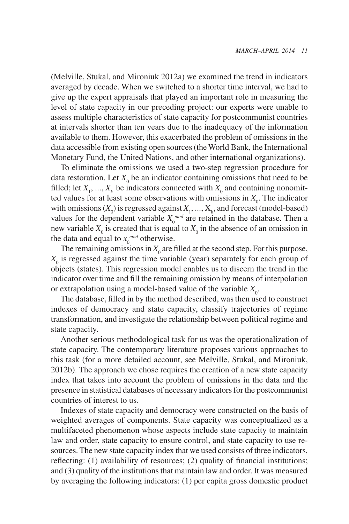(Melville, Stukal, and Mironiuk 2012a) we examined the trend in indicators averaged by decade. When we switched to a shorter time interval, we had to give up the expert appraisals that played an important role in measuring the level of state capacity in our preceding project: our experts were unable to assess multiple characteristics of state capacity for postcommunist countries at intervals shorter than ten years due to the inadequacy of the information available to them. However, this exacerbated the problem of omissions in the data accessible from existing open sources (the World Bank, the International Monetary Fund, the United Nations, and other international organizations).

To eliminate the omissions we used a two-step regression procedure for data restoration. Let  $X_0$  be an indicator containing omissions that need to be filled; let  $X_1, \ldots, X_k$  be indicators connected with  $X_0$  and containing nonomitted values for at least some observations with omissions in  $X_0$ . The indicator with omissions  $(X_0)$  is regressed against  $X_1, ..., X_k$ , and forecast (model-based) values for the dependent variable  $X_0^{\text{mod}}$  are retained in the database. Then a new variable  $X_0$  is created that is equal to  $X_0$  in the absence of an omission in the data and equal to  $x_0^{\text{mod}}$  otherwise.

The remaining omissions in  $X_0$  are filled at the second step. For this purpose,  $X_0$  is regressed against the time variable (year) separately for each group of objects (states). This regression model enables us to discern the trend in the indicator over time and fill the remaining omission by means of interpolation or extrapolation using a model-based value of the variable  $X_0$ .

The database, filled in by the method described, was then used to construct indexes of democracy and state capacity, classify trajectories of regime transformation, and investigate the relationship between political regime and state capacity.

Another serious methodological task for us was the operationalization of state capacity. The contemporary literature proposes various approaches to this task (for a more detailed account, see Melville, Stukal, and Mironiuk, 2012b). The approach we chose requires the creation of a new state capacity index that takes into account the problem of omissions in the data and the presence in statistical databases of necessary indicators for the postcommunist countries of interest to us.

Indexes of state capacity and democracy were constructed on the basis of weighted averages of components. State capacity was conceptualized as a multifaceted phenomenon whose aspects include state capacity to maintain law and order, state capacity to ensure control, and state capacity to use resources. The new state capacity index that we used consists of three indicators, reflecting: (1) availability of resources; (2) quality of financial institutions; and (3) quality of the institutions that maintain law and order. It was measured by averaging the following indicators: (1) per capita gross domestic product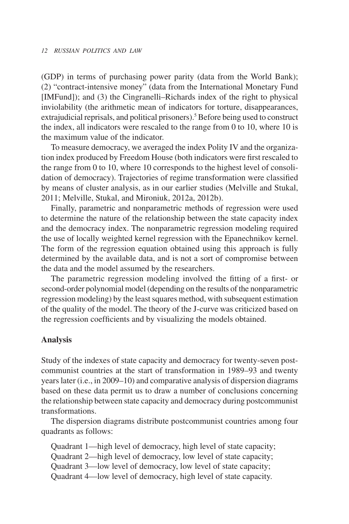(GDP) in terms of purchasing power parity (data from the World Bank); (2) "contract-intensive money" (data from the International Monetary Fund [IMFund]); and (3) the Cingranelli–Richards index of the right to physical inviolability (the arithmetic mean of indicators for torture, disappearances, extrajudicial reprisals, and political prisoners).<sup>5</sup> Before being used to construct the index, all indicators were rescaled to the range from 0 to 10, where 10 is the maximum value of the indicator.

To measure democracy, we averaged the index Polity IV and the organization index produced by Freedom House (both indicators were first rescaled to the range from 0 to 10, where 10 corresponds to the highest level of consolidation of democracy). Trajectories of regime transformation were classified by means of cluster analysis, as in our earlier studies (Melville and Stukal, 2011; Melville, Stukal, and Mironiuk, 2012a, 2012b).

Finally, parametric and nonparametric methods of regression were used to determine the nature of the relationship between the state capacity index and the democracy index. The nonparametric regression modeling required the use of locally weighted kernel regression with the Epanechnikov kernel. The form of the regression equation obtained using this approach is fully determined by the available data, and is not a sort of compromise between the data and the model assumed by the researchers.

The parametric regression modeling involved the fitting of a first- or second-order polynomial model (depending on the results of the nonparametric regression modeling) by the least squares method, with subsequent estimation of the quality of the model. The theory of the J-curve was criticized based on the regression coefficients and by visualizing the models obtained.

## **Analysis**

Study of the indexes of state capacity and democracy for twenty-seven postcommunist countries at the start of transformation in 1989–93 and twenty years later (i.e., in 2009–10) and comparative analysis of dispersion diagrams based on these data permit us to draw a number of conclusions concerning the relationship between state capacity and democracy during postcommunist transformations.

The dispersion diagrams distribute postcommunist countries among four quadrants as follows:

Quadrant 1—high level of democracy, high level of state capacity; Quadrant 2—high level of democracy, low level of state capacity; Quadrant 3—low level of democracy, low level of state capacity; Quadrant 4—low level of democracy, high level of state capacity.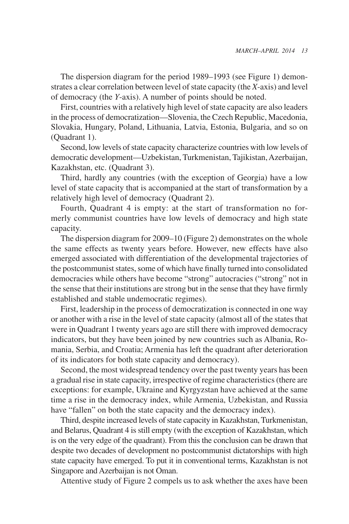The dispersion diagram for the period 1989–1993 (see Figure 1) demonstrates a clear correlation between level of state capacity (the *X*-axis) and level of democracy (the *Y*-axis). A number of points should be noted.

First, countries with a relatively high level of state capacity are also leaders in the process of democratization—Slovenia, the Czech Republic, Macedonia, Slovakia, Hungary, Poland, Lithuania, Latvia, Estonia, Bulgaria, and so on (Quadrant 1).

Second, low levels of state capacity characterize countries with low levels of democratic development—Uzbekistan, Turkmenistan, Tajikistan, Azerbaijan, Kazakhstan, etc. (Quadrant 3).

Third, hardly any countries (with the exception of Georgia) have a low level of state capacity that is accompanied at the start of transformation by a relatively high level of democracy (Quadrant 2).

Fourth, Quadrant 4 is empty: at the start of transformation no formerly communist countries have low levels of democracy and high state capacity.

The dispersion diagram for 2009–10 (Figure 2) demonstrates on the whole the same effects as twenty years before. However, new effects have also emerged associated with differentiation of the developmental trajectories of the postcommunist states, some of which have finally turned into consolidated democracies while others have become "strong" autocracies ("strong" not in the sense that their institutions are strong but in the sense that they have firmly established and stable undemocratic regimes).

First, leadership in the process of democratization is connected in one way or another with a rise in the level of state capacity (almost all of the states that were in Quadrant 1 twenty years ago are still there with improved democracy indicators, but they have been joined by new countries such as Albania, Romania, Serbia, and Croatia; Armenia has left the quadrant after deterioration of its indicators for both state capacity and democracy).

Second, the most widespread tendency over the past twenty years has been a gradual rise in state capacity, irrespective of regime characteristics (there are exceptions: for example, Ukraine and Kyrgyzstan have achieved at the same time a rise in the democracy index, while Armenia, Uzbekistan, and Russia have "fallen" on both the state capacity and the democracy index).

Third, despite increased levels of state capacity in Kazakhstan, Turkmenistan, and Belarus, Quadrant 4 is still empty (with the exception of Kazakhstan, which is on the very edge of the quadrant). From this the conclusion can be drawn that despite two decades of development no postcommunist dictatorships with high state capacity have emerged. To put it in conventional terms, Kazakhstan is not Singapore and Azerbaijan is not Oman.

Attentive study of Figure 2 compels us to ask whether the axes have been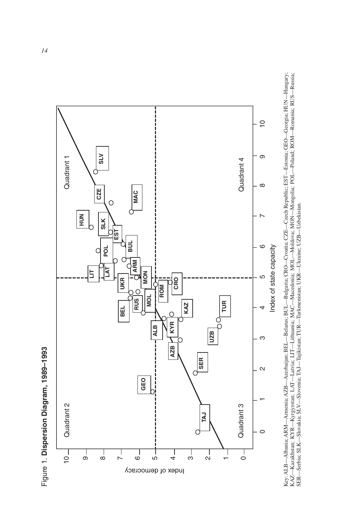

Key: ALB—Albania; ARM—Armenia; AZB—Azerbaijan; BEL—Belarus; BUL—Bulgaria; CRO—Croatia; CZE—Czech Republic; EST—Estonia; GEO—Georgia; HUN—Hungary;<br>KAZ—Kazakhstan; KYR—Kyrgyzstan; LAT—Latvia; LIT—Lithuania; MAC—Macedonia; MO Key: ALB—Albania; ARM—Armenia; AZB—Azerbaijan; BEL—Belarus; BUL—Bulgaria; CRO—Croatia; CZE—Czech Republic; EST—Estonia; GEO—Georgia; HUN—Hungary; KAZ—Kazakhstan; KYR—Kyrgyzstan; LAT—Latvia; LIT—Lithuania; MAC—Macedonia; MOL—Moldova; MON—Mongolia; POL—Poland; ROM—Romania; RUS—Russia; SER—Serbia; SLK—Slovakia; SLV—Slovenia; TAJ—Tajikistan; TUR—Turkmenistan; UKR—Ukraine; UZB—Uzbekistan.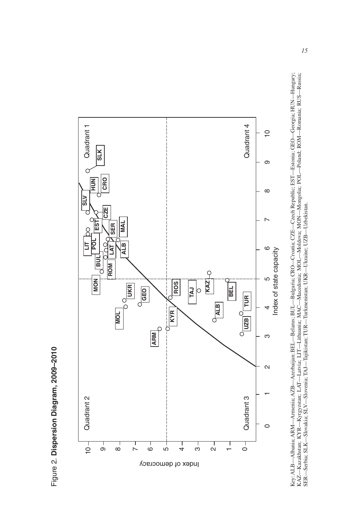



Key: ALB—Albania; ARM—Amenia; AZB—Azerbaijan; BEL—Belarus; BUL—Bulgaria; CRO—Croatia; CZE—Czech Republic; EST—Estonia; GEO—Georgia; HUN—Hungary;<br>KAZ—Kazakhstan; KYR—Kyrgyzstan; LAT—Latvia; LIT—Lithuania; MAC—Macedonia; MOL Key: ALB—Albania; ARM—Armenia; AZB—Azerbaijan; BEL—Belarus; BUL—Bulgaria; CRO—Croatia; CZE—Czech Republic; EST—Estonia; GEO—Georgia; HUN—Hungary; KAZ—Kazakhstan; KYR—Kyrgyzstan; LAT—Latvia; LIT—Lithuania; MAC—Macedonia; MOL—Moldova; MON—Mongolia; POL—Poland; ROM—Romania; RUS—Russia; SER—Serbia; SLK—Slovakia; SLV—Slovenia; TAJ—Tajikistan; TUR—Turkmenistan; UKR—Ukraine; UZB—Uzbekistan.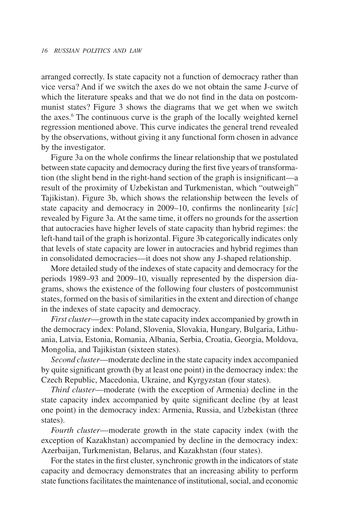arranged correctly. Is state capacity not a function of democracy rather than vice versa? And if we switch the axes do we not obtain the same J-curve of which the literature speaks and that we do not find in the data on postcommunist states? Figure 3 shows the diagrams that we get when we switch the axes.6 The continuous curve is the graph of the locally weighted kernel regression mentioned above. This curve indicates the general trend revealed by the observations, without giving it any functional form chosen in advance by the investigator.

Figure 3a on the whole confirms the linear relationship that we postulated between state capacity and democracy during the first five years of transformation (the slight bend in the right-hand section of the graph is insignificant—a result of the proximity of Uzbekistan and Turkmenistan, which "outweigh" Tajikistan). Figure 3b, which shows the relationship between the levels of state capacity and democracy in 2009–10, confirms the nonlinearity [*sic*] revealed by Figure 3a. At the same time, it offers no grounds for the assertion that autocracies have higher levels of state capacity than hybrid regimes: the left-hand tail of the graph is horizontal. Figure 3b categorically indicates only that levels of state capacity are lower in autocracies and hybrid regimes than in consolidated democracies—it does not show any J-shaped relationship.

More detailed study of the indexes of state capacity and democracy for the periods 1989–93 and 2009–10, visually represented by the dispersion diagrams, shows the existence of the following four clusters of postcommunist states, formed on the basis of similarities in the extent and direction of change in the indexes of state capacity and democracy.

*First cluster*—growth in the state capacity index accompanied by growth in the democracy index: Poland, Slovenia, Slovakia, Hungary, Bulgaria, Lithuania, Latvia, Estonia, Romania, Albania, Serbia, Croatia, Georgia, Moldova, Mongolia, and Tajikistan (sixteen states).

*Second cluster*—moderate decline in the state capacity index accompanied by quite significant growth (by at least one point) in the democracy index: the Czech Republic, Macedonia, Ukraine, and Kyrgyzstan (four states).

*Third cluster*—moderate (with the exception of Armenia) decline in the state capacity index accompanied by quite significant decline (by at least one point) in the democracy index: Armenia, Russia, and Uzbekistan (three states).

*Fourth cluster*—moderate growth in the state capacity index (with the exception of Kazakhstan) accompanied by decline in the democracy index: Azerbaijan, Turkmenistan, Belarus, and Kazakhstan (four states).

For the states in the first cluster, synchronic growth in the indicators of state capacity and democracy demonstrates that an increasing ability to perform state functions facilitates the maintenance of institutional, social, and economic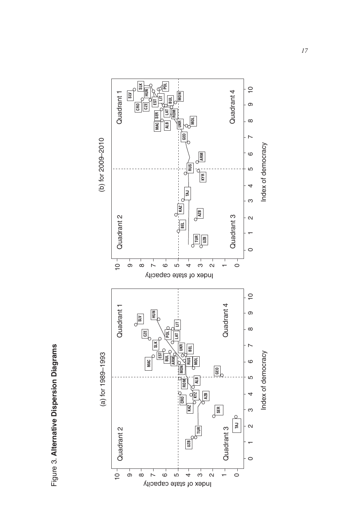

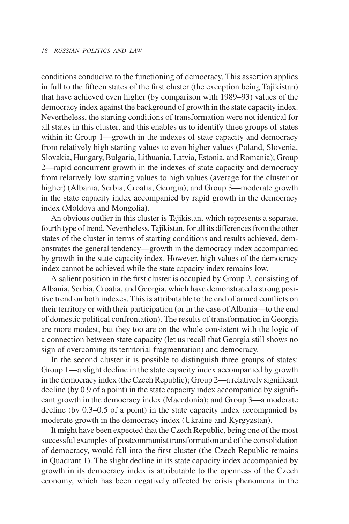conditions conducive to the functioning of democracy. This assertion applies in full to the fifteen states of the first cluster (the exception being Tajikistan) that have achieved even higher (by comparison with 1989–93) values of the democracy index against the background of growth in the state capacity index. Nevertheless, the starting conditions of transformation were not identical for all states in this cluster, and this enables us to identify three groups of states within it: Group 1—growth in the indexes of state capacity and democracy from relatively high starting values to even higher values (Poland, Slovenia, Slovakia, Hungary, Bulgaria, Lithuania, Latvia, Estonia, and Romania); Group 2—rapid concurrent growth in the indexes of state capacity and democracy from relatively low starting values to high values (average for the cluster or higher) (Albania, Serbia, Croatia, Georgia); and Group 3—moderate growth in the state capacity index accompanied by rapid growth in the democracy index (Moldova and Mongolia).

An obvious outlier in this cluster is Tajikistan, which represents a separate, fourth type of trend. Nevertheless, Tajikistan, for all its differences from the other states of the cluster in terms of starting conditions and results achieved, demonstrates the general tendency—growth in the democracy index accompanied by growth in the state capacity index. However, high values of the democracy index cannot be achieved while the state capacity index remains low.

A salient position in the first cluster is occupied by Group 2, consisting of Albania, Serbia, Croatia, and Georgia, which have demonstrated a strong positive trend on both indexes. This is attributable to the end of armed conflicts on their territory or with their participation (or in the case of Albania—to the end of domestic political confrontation). The results of transformation in Georgia are more modest, but they too are on the whole consistent with the logic of a connection between state capacity (let us recall that Georgia still shows no sign of overcoming its territorial fragmentation) and democracy.

In the second cluster it is possible to distinguish three groups of states: Group 1—a slight decline in the state capacity index accompanied by growth in the democracy index (the Czech Republic); Group 2—a relatively significant decline (by 0.9 of a point) in the state capacity index accompanied by significant growth in the democracy index (Macedonia); and Group 3—a moderate decline (by 0.3–0.5 of a point) in the state capacity index accompanied by moderate growth in the democracy index (Ukraine and Kyrgyzstan).

It might have been expected that the Czech Republic, being one of the most successful examples of postcommunist transformation and of the consolidation of democracy, would fall into the first cluster (the Czech Republic remains in Quadrant 1). The slight decline in its state capacity index accompanied by growth in its democracy index is attributable to the openness of the Czech economy, which has been negatively affected by crisis phenomena in the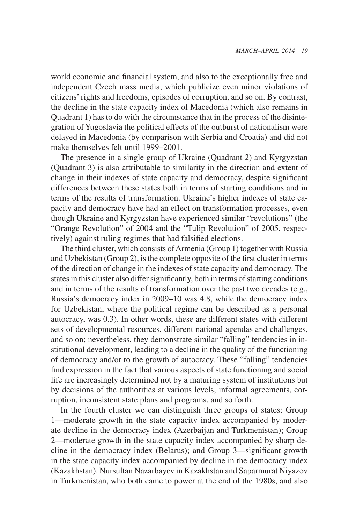world economic and financial system, and also to the exceptionally free and independent Czech mass media, which publicize even minor violations of citizens' rights and freedoms, episodes of corruption, and so on. By contrast, the decline in the state capacity index of Macedonia (which also remains in Quadrant 1) has to do with the circumstance that in the process of the disintegration of Yugoslavia the political effects of the outburst of nationalism were delayed in Macedonia (by comparison with Serbia and Croatia) and did not make themselves felt until 1999–2001.

The presence in a single group of Ukraine (Quadrant 2) and Kyrgyzstan (Quadrant 3) is also attributable to similarity in the direction and extent of change in their indexes of state capacity and democracy, despite significant differences between these states both in terms of starting conditions and in terms of the results of transformation. Ukraine's higher indexes of state capacity and democracy have had an effect on transformation processes, even though Ukraine and Kyrgyzstan have experienced similar "revolutions" (the "Orange Revolution" of 2004 and the "Tulip Revolution" of 2005, respectively) against ruling regimes that had falsified elections.

The third cluster, which consists of Armenia (Group 1) together with Russia and Uzbekistan (Group 2), is the complete opposite of the first cluster in terms of the direction of change in the indexes of state capacity and democracy. The states in this cluster also differ significantly, both in terms of starting conditions and in terms of the results of transformation over the past two decades (e.g., Russia's democracy index in 2009–10 was 4.8, while the democracy index for Uzbekistan, where the political regime can be described as a personal autocracy, was 0.3). In other words, these are different states with different sets of developmental resources, different national agendas and challenges, and so on; nevertheless, they demonstrate similar "falling" tendencies in institutional development, leading to a decline in the quality of the functioning of democracy and/or to the growth of autocracy. These "falling" tendencies find expression in the fact that various aspects of state functioning and social life are increasingly determined not by a maturing system of institutions but by decisions of the authorities at various levels, informal agreements, corruption, inconsistent state plans and programs, and so forth.

In the fourth cluster we can distinguish three groups of states: Group 1—moderate growth in the state capacity index accompanied by moderate decline in the democracy index (Azerbaijan and Turkmenistan); Group 2—moderate growth in the state capacity index accompanied by sharp decline in the democracy index (Belarus); and Group 3—significant growth in the state capacity index accompanied by decline in the democracy index (Kazakhstan). Nursultan Nazarbayev in Kazakhstan and Saparmurat Niyazov in Turkmenistan, who both came to power at the end of the 1980s, and also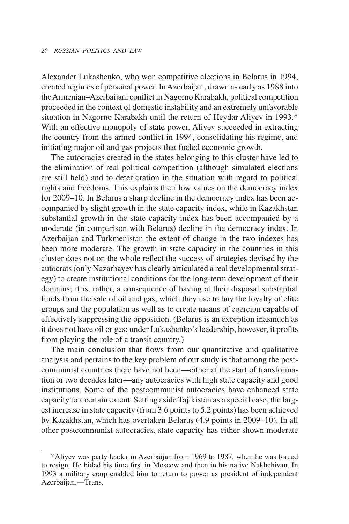Alexander Lukashenko, who won competitive elections in Belarus in 1994, created regimes of personal power. In Azerbaijan, drawn as early as 1988 into the Armenian–Azerbaijani conflict in Nagorno Karabakh, political competition proceeded in the context of domestic instability and an extremely unfavorable situation in Nagorno Karabakh until the return of Heydar Aliyev in 1993.\* With an effective monopoly of state power, Aliyev succeeded in extracting the country from the armed conflict in 1994, consolidating his regime, and initiating major oil and gas projects that fueled economic growth.

The autocracies created in the states belonging to this cluster have led to the elimination of real political competition (although simulated elections are still held) and to deterioration in the situation with regard to political rights and freedoms. This explains their low values on the democracy index for 2009–10. In Belarus a sharp decline in the democracy index has been accompanied by slight growth in the state capacity index, while in Kazakhstan substantial growth in the state capacity index has been accompanied by a moderate (in comparison with Belarus) decline in the democracy index. In Azerbaijan and Turkmenistan the extent of change in the two indexes has been more moderate. The growth in state capacity in the countries in this cluster does not on the whole reflect the success of strategies devised by the autocrats (only Nazarbayev has clearly articulated a real developmental strategy) to create institutional conditions for the long-term development of their domains; it is, rather, a consequence of having at their disposal substantial funds from the sale of oil and gas, which they use to buy the loyalty of elite groups and the population as well as to create means of coercion capable of effectively suppressing the opposition. (Belarus is an exception inasmuch as it does not have oil or gas; under Lukashenko's leadership, however, it profits from playing the role of a transit country.)

The main conclusion that flows from our quantitative and qualitative analysis and pertains to the key problem of our study is that among the postcommunist countries there have not been—either at the start of transformation or two decades later—any autocracies with high state capacity and good institutions. Some of the postcommunist autocracies have enhanced state capacity to a certain extent. Setting aside Tajikistan as a special case, the largest increase in state capacity (from 3.6 points to 5.2 points) has been achieved by Kazakhstan, which has overtaken Belarus (4.9 points in 2009–10). In all other postcommunist autocracies, state capacity has either shown moderate

<sup>\*</sup>Aliyev was party leader in Azerbaijan from 1969 to 1987, when he was forced to resign. He bided his time first in Moscow and then in his native Nakhchivan. In 1993 a military coup enabled him to return to power as president of independent Azerbaijan.—Trans.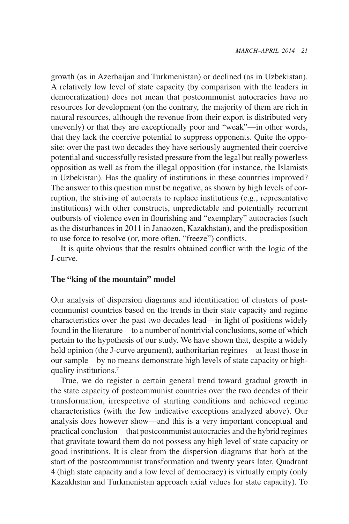growth (as in Azerbaijan and Turkmenistan) or declined (as in Uzbekistan). A relatively low level of state capacity (by comparison with the leaders in democratization) does not mean that postcommunist autocracies have no resources for development (on the contrary, the majority of them are rich in natural resources, although the revenue from their export is distributed very unevenly) or that they are exceptionally poor and "weak"—in other words, that they lack the coercive potential to suppress opponents. Quite the opposite: over the past two decades they have seriously augmented their coercive potential and successfully resisted pressure from the legal but really powerless opposition as well as from the illegal opposition (for instance, the Islamists in Uzbekistan). Has the quality of institutions in these countries improved? The answer to this question must be negative, as shown by high levels of corruption, the striving of autocrats to replace institutions (e.g., representative institutions) with other constructs, unpredictable and potentially recurrent outbursts of violence even in flourishing and "exemplary" autocracies (such as the disturbances in 2011 in Janaozen, Kazakhstan), and the predisposition to use force to resolve (or, more often, "freeze") conflicts.

It is quite obvious that the results obtained conflict with the logic of the J-curve.

## **The "king of the mountain" model**

Our analysis of dispersion diagrams and identification of clusters of postcommunist countries based on the trends in their state capacity and regime characteristics over the past two decades lead—in light of positions widely found in the literature—to a number of nontrivial conclusions, some of which pertain to the hypothesis of our study. We have shown that, despite a widely held opinion (the J-curve argument), authoritarian regimes—at least those in our sample—by no means demonstrate high levels of state capacity or highquality institutions.7

True, we do register a certain general trend toward gradual growth in the state capacity of postcommunist countries over the two decades of their transformation, irrespective of starting conditions and achieved regime characteristics (with the few indicative exceptions analyzed above). Our analysis does however show—and this is a very important conceptual and practical conclusion—that postcommunist autocracies and the hybrid regimes that gravitate toward them do not possess any high level of state capacity or good institutions. It is clear from the dispersion diagrams that both at the start of the postcommunist transformation and twenty years later, Quadrant 4 (high state capacity and a low level of democracy) is virtually empty (only Kazakhstan and Turkmenistan approach axial values for state capacity). To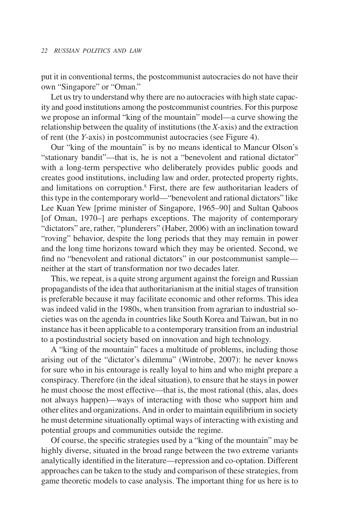put it in conventional terms, the postcommunist autocracies do not have their own "Singapore" or "Oman."

Let us try to understand why there are no autocracies with high state capacity and good institutions among the postcommunist countries. For this purpose we propose an informal "king of the mountain" model—a curve showing the relationship between the quality of institutions (the *X*-axis) and the extraction of rent (the *Y*-axis) in postcommunist autocracies (see Figure 4).

Our "king of the mountain" is by no means identical to Mancur Olson's "stationary bandit"—that is, he is not a "benevolent and rational dictator" with a long-term perspective who deliberately provides public goods and creates good institutions, including law and order, protected property rights, and limitations on corruption.<sup>8</sup> First, there are few authoritarian leaders of this type in the contemporary world—"benevolent and rational dictators" like Lee Kuan Yew [prime minister of Singapore, 1965–90] and Sultan Qaboos [of Oman, 1970–] are perhaps exceptions. The majority of contemporary "dictators" are, rather, "plunderers" (Haber, 2006) with an inclination toward "roving" behavior, despite the long periods that they may remain in power and the long time horizons toward which they may be oriented. Second, we find no "benevolent and rational dictators" in our postcommunist sample neither at the start of transformation nor two decades later.

This, we repeat, is a quite strong argument against the foreign and Russian propagandists of the idea that authoritarianism at the initial stages of transition is preferable because it may facilitate economic and other reforms. This idea was indeed valid in the 1980s, when transition from agrarian to industrial societies was on the agenda in countries like South Korea and Taiwan, but in no instance has it been applicable to a contemporary transition from an industrial to a postindustrial society based on innovation and high technology.

A "king of the mountain" faces a multitude of problems, including those arising out of the "dictator's dilemma" (Wintrobe, 2007): he never knows for sure who in his entourage is really loyal to him and who might prepare a conspiracy. Therefore (in the ideal situation), to ensure that he stays in power he must choose the most effective—that is, the most rational (this, alas, does not always happen)—ways of interacting with those who support him and other elites and organizations. And in order to maintain equilibrium in society he must determine situationally optimal ways of interacting with existing and potential groups and communities outside the regime.

Of course, the specific strategies used by a "king of the mountain" may be highly diverse, situated in the broad range between the two extreme variants analytically identified in the literature—repression and co-optation. Different approaches can be taken to the study and comparison of these strategies, from game theoretic models to case analysis. The important thing for us here is to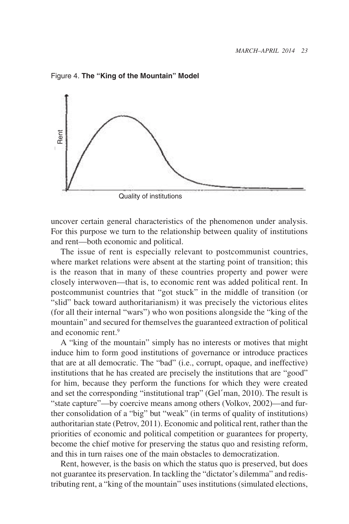Figure 4. **The "King of the Mountain" Model**



uncover certain general characteristics of the phenomenon under analysis. For this purpose we turn to the relationship between quality of institutions and rent—both economic and political.

The issue of rent is especially relevant to postcommunist countries, where market relations were absent at the starting point of transition; this is the reason that in many of these countries property and power were closely interwoven—that is, to economic rent was added political rent. In postcommunist countries that "got stuck" in the middle of transition (or "slid" back toward authoritarianism) it was precisely the victorious elites (for all their internal "wars") who won positions alongside the "king of the mountain" and secured for themselves the guaranteed extraction of political and economic rent.<sup>9</sup>

A "king of the mountain" simply has no interests or motives that might induce him to form good institutions of governance or introduce practices that are at all democratic. The "bad" (i.e., corrupt, opaque, and ineffective) institutions that he has created are precisely the institutions that are "good" for him, because they perform the functions for which they were created and set the corresponding "institutional trap" (Gel'man, 2010). The result is "state capture"—by coercive means among others (Volkov, 2002)—and further consolidation of a "big" but "weak" (in terms of quality of institutions) authoritarian state (Petrov, 2011). Economic and political rent, rather than the priorities of economic and political competition or guarantees for property, become the chief motive for preserving the status quo and resisting reform, and this in turn raises one of the main obstacles to democratization.

Rent, however, is the basis on which the status quo is preserved, but does not guarantee its preservation. In tackling the "dictator's dilemma" and redistributing rent, a "king of the mountain" uses institutions (simulated elections,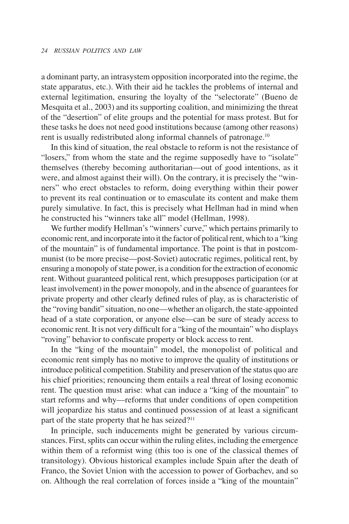a dominant party, an intrasystem opposition incorporated into the regime, the state apparatus, etc.). With their aid he tackles the problems of internal and external legitimation, ensuring the loyalty of the "selectorate" (Bueno de Mesquita et al., 2003) and its supporting coalition, and minimizing the threat of the "desertion" of elite groups and the potential for mass protest. But for these tasks he does not need good institutions because (among other reasons) rent is usually redistributed along informal channels of patronage.10

In this kind of situation, the real obstacle to reform is not the resistance of "losers," from whom the state and the regime supposedly have to "isolate" themselves (thereby becoming authoritarian—out of good intentions, as it were, and almost against their will). On the contrary, it is precisely the "winners" who erect obstacles to reform, doing everything within their power to prevent its real continuation or to emasculate its content and make them purely simulative. In fact, this is precisely what Hellman had in mind when he constructed his "winners take all" model (Hellman, 1998).

We further modify Hellman's "winners' curve," which pertains primarily to economic rent, and incorporate into it the factor of political rent, which to a "king of the mountain" is of fundamental importance. The point is that in postcommunist (to be more precise—post-Soviet) autocratic regimes, political rent, by ensuring a monopoly of state power, is a condition for the extraction of economic rent. Without guaranteed political rent, which presupposes participation (or at least involvement) in the power monopoly, and in the absence of guarantees for private property and other clearly defined rules of play, as is characteristic of the "roving bandit" situation, no one—whether an oligarch, the state-appointed head of a state corporation, or anyone else—can be sure of steady access to economic rent. It is not very difficult for a "king of the mountain" who displays "roving" behavior to confiscate property or block access to rent.

In the "king of the mountain" model, the monopolist of political and economic rent simply has no motive to improve the quality of institutions or introduce political competition. Stability and preservation of the status quo are his chief priorities; renouncing them entails a real threat of losing economic rent. The question must arise: what can induce a "king of the mountain" to start reforms and why—reforms that under conditions of open competition will jeopardize his status and continued possession of at least a significant part of the state property that he has seized?<sup>11</sup>

In principle, such inducements might be generated by various circumstances. First, splits can occur within the ruling elites, including the emergence within them of a reformist wing (this too is one of the classical themes of transitology). Obvious historical examples include Spain after the death of Franco, the Soviet Union with the accession to power of Gorbachev, and so on. Although the real correlation of forces inside a "king of the mountain"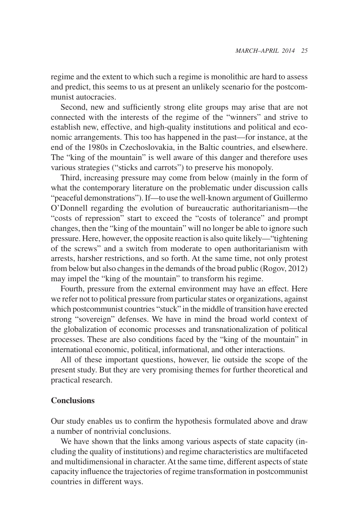regime and the extent to which such a regime is monolithic are hard to assess and predict, this seems to us at present an unlikely scenario for the postcommunist autocracies.

Second, new and sufficiently strong elite groups may arise that are not connected with the interests of the regime of the "winners" and strive to establish new, effective, and high-quality institutions and political and economic arrangements. This too has happened in the past—for instance, at the end of the 1980s in Czechoslovakia, in the Baltic countries, and elsewhere. The "king of the mountain" is well aware of this danger and therefore uses various strategies ("sticks and carrots") to preserve his monopoly.

Third, increasing pressure may come from below (mainly in the form of what the contemporary literature on the problematic under discussion calls "peaceful demonstrations"). If—to use the well-known argument of Guillermo O'Donnell regarding the evolution of bureaucratic authoritarianism—the "costs of repression" start to exceed the "costs of tolerance" and prompt changes, then the "king of the mountain" will no longer be able to ignore such pressure. Here, however, the opposite reaction is also quite likely—"tightening of the screws" and a switch from moderate to open authoritarianism with arrests, harsher restrictions, and so forth. At the same time, not only protest from below but also changes in the demands of the broad public (Rogov, 2012) may impel the "king of the mountain" to transform his regime.

Fourth, pressure from the external environment may have an effect. Here we refer not to political pressure from particular states or organizations, against which postcommunist countries "stuck" in the middle of transition have erected strong "sovereign" defenses. We have in mind the broad world context of the globalization of economic processes and transnationalization of political processes. These are also conditions faced by the "king of the mountain" in international economic, political, informational, and other interactions.

All of these important questions, however, lie outside the scope of the present study. But they are very promising themes for further theoretical and practical research.

## **Conclusions**

Our study enables us to confirm the hypothesis formulated above and draw a number of nontrivial conclusions.

We have shown that the links among various aspects of state capacity (including the quality of institutions) and regime characteristics are multifaceted and multidimensional in character. At the same time, different aspects of state capacity influence the trajectories of regime transformation in postcommunist countries in different ways.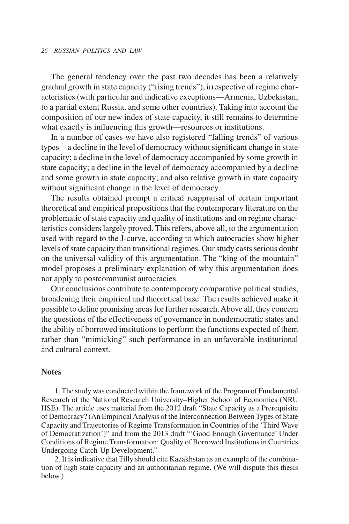The general tendency over the past two decades has been a relatively gradual growth in state capacity ("rising trends"), irrespective of regime characteristics (with particular and indicative exceptions—Armenia, Uzbekistan, to a partial extent Russia, and some other countries). Taking into account the composition of our new index of state capacity, it still remains to determine what exactly is influencing this growth—resources or institutions.

In a number of cases we have also registered "falling trends" of various types—a decline in the level of democracy without significant change in state capacity; a decline in the level of democracy accompanied by some growth in state capacity; a decline in the level of democracy accompanied by a decline and some growth in state capacity; and also relative growth in state capacity without significant change in the level of democracy.

The results obtained prompt a critical reappraisal of certain important theoretical and empirical propositions that the contemporary literature on the problematic of state capacity and quality of institutions and on regime characteristics considers largely proved. This refers, above all, to the argumentation used with regard to the J-curve, according to which autocracies show higher levels of state capacity than transitional regimes. Our study casts serious doubt on the universal validity of this argumentation. The "king of the mountain" model proposes a preliminary explanation of why this argumentation does not apply to postcommunist autocracies.

Our conclusions contribute to contemporary comparative political studies, broadening their empirical and theoretical base. The results achieved make it possible to define promising areas for further research. Above all, they concern the questions of the effectiveness of governance in nondemocratic states and the ability of borrowed institutions to perform the functions expected of them rather than "mimicking" such performance in an unfavorable institutional and cultural context.

## **Notes**

1. The study was conducted within the framework of the Program of Fundamental Research of the National Research University–Higher School of Economics (NRU HSE). The article uses material from the 2012 draft "State Capacity as a Prerequisite of Democracy? (An Empirical Analysis of the Interconnection Between Types of State Capacity and Trajectories of Regime Transformation in Countries of the 'Third Wave of Democratization')" and from the 2013 draft "'Good Enough Governance' Under Conditions of Regime Transformation: Quality of Borrowed Institutions in Countries Undergoing Catch-Up Development."

2. It is indicative that Tilly should cite Kazakhstan as an example of the combination of high state capacity and an authoritarian regime. (We will dispute this thesis below.)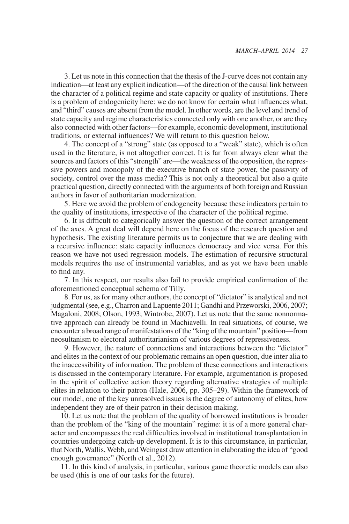3. Let us note in this connection that the thesis of the J-curve does not contain any indication—at least any explicit indication—of the direction of the causal link between the character of a political regime and state capacity or quality of institutions. There is a problem of endogenicity here: we do not know for certain what influences what, and "third" causes are absent from the model. In other words, are the level and trend of state capacity and regime characteristics connected only with one another, or are they also connected with other factors—for example, economic development, institutional traditions, or external influences? We will return to this question below.

4. The concept of a "strong" state (as opposed to a "weak" state), which is often used in the literature, is not altogether correct. It is far from always clear what the sources and factors of this "strength" are—the weakness of the opposition, the repressive powers and monopoly of the executive branch of state power, the passivity of society, control over the mass media? This is not only a theoretical but also a quite practical question, directly connected with the arguments of both foreign and Russian authors in favor of authoritarian modernization.

5. Here we avoid the problem of endogeneity because these indicators pertain to the quality of institutions, irrespective of the character of the political regime.

6. It is difficult to categorically answer the question of the correct arrangement of the axes. A great deal will depend here on the focus of the research question and hypothesis. The existing literature permits us to conjecture that we are dealing with a recursive influence: state capacity influences democracy and vice versa. For this reason we have not used regression models. The estimation of recursive structural models requires the use of instrumental variables, and as yet we have been unable to find any.

7. In this respect, our results also fail to provide empirical confirmation of the aforementioned conceptual schema of Tilly.

8. For us, as for many other authors, the concept of "dictator" is analytical and not judgmental (see, e.g., Charron and Lapuente 2011; Gandhi and Przeworski, 2006, 2007; Magaloni, 2008; Olson, 1993; Wintrobe, 2007). Let us note that the same nonnormative approach can already be found in Machiavelli. In real situations, of course, we encounter a broad range of manifestations of the "king of the mountain" position—from neosultanism to electoral authoritarianism of various degrees of repressiveness.

9. However, the nature of connections and interactions between the "dictator" and elites in the context of our problematic remains an open question, due inter alia to the inaccessibility of information. The problem of these connections and interactions is discussed in the contemporary literature. For example, argumentation is proposed in the spirit of collective action theory regarding alternative strategies of multiple elites in relation to their patron (Hale, 2006, pp. 305–29). Within the framework of our model, one of the key unresolved issues is the degree of autonomy of elites, how independent they are of their patron in their decision making.

10. Let us note that the problem of the quality of borrowed institutions is broader than the problem of the "king of the mountain" regime: it is of a more general character and encompasses the real difficulties involved in institutional transplantation in countries undergoing catch-up development. It is to this circumstance, in particular, that North, Wallis, Webb, and Weingast draw attention in elaborating the idea of "good enough governance" (North et al., 2012).

11. In this kind of analysis, in particular, various game theoretic models can also be used (this is one of our tasks for the future).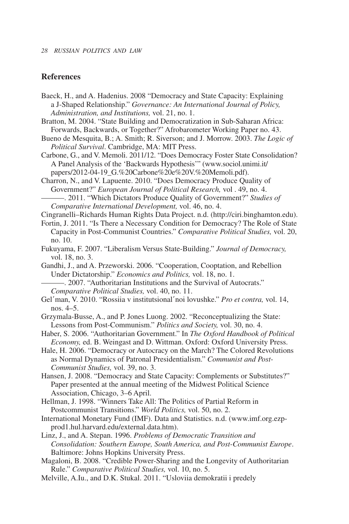## **References**

- Baeck, H., and A. Hadenius. 2008 "Democracy and State Capacity: Explaining a J-Shaped Relationship." *Governance: An International Journal of Policy, Administration, and Institutions,* vol. 21, no. 1.
- Bratton, M. 2004. "State Building and Democratization in Sub-Saharan Africa: Forwards, Backwards, or Together?" Afrobarometer Working Paper no. 43.
- Bueno de Mesquita, B.; A. Smith; R. Siverson; and J. Morrow. 2003. *The Logic of Political Survival*. Cambridge, MA: MIT Press.
- Carbone, G., and V. Memoli. 2011/12. "Does Democracy Foster State Consolidation? A Panel Analysis of the 'Backwards Hypothesis'" (www.sociol.unimi.it/ papers/2012-04-19\_G.%20Carbone%20e%20V.%20Memoli.pdf).
- Charron, N., and V. Lapuente. 2010. "Does Democracy Produce Quality of Government?" *European Journal of Political Research,* vol . 49, no. 4.
	- ———. 2011. "Which Dictators Produce Quality of Government?" *Studies of Comparative International Development,* vol. 46, no. 4.
- Cingranelli–Richards Human Rights Data Project. n.d. (http://ciri.binghamton.edu).
- Fortin, J. 2011. "Is There a Necessary Condition for Democracy? The Role of State Capacity in Post-Communist Countries." *Comparative Political Studies,* vol. 20, no. 10.
- Fukuyama, F. 2007. "Liberalism Versus State-Building." *Journal of Democracy,* vol. 18, no. 3.
- Gandhi, J., and A. Przeworski. 2006. "Cooperation, Cooptation, and Rebellion Under Dictatorship." *Economics and Politics,* vol. 18, no. 1.
	- ———. 2007. "Authoritarian Institutions and the Survival of Autocrats." *Comparative Political Studies,* vol. 40, no. 11.
- Gel'man, V. 2010. "Rossiia v institutsional'noi lovushke." *Pro et contra,* vol. 14, nos. 4–5.
- Grzymala-Busse, A., and P. Jones Luong. 2002. "Reconceptualizing the State: Lessons from Post-Communism." *Politics and Society,* vol. 30, no. 4.
- Haber, S. 2006. "Authoritarian Government." In *The Oxford Handbook of Political Economy,* ed. B. Weingast and D. Wittman. Oxford: Oxford University Press.
- Hale, H. 2006. "Democracy or Autocracy on the March? The Colored Revolutions as Normal Dynamics of Patronal Presidentialism." *Communist and Post-Communist Studies,* vol. 39, no. 3.
- Hansen, J. 2008. "Democracy and State Capacity: Complements or Substitutes?" Paper presented at the annual meeting of the Midwest Political Science Association, Chicago, 3–6 April.
- Hellman, J. 1998. "Winners Take All: The Politics of Partial Reform in Postcommunist Transitions." *World Politics,* vol. 50, no. 2.
- International Monetary Fund (IMF). Data and Statistics. n.d. (www.imf.org.ezpprod1.hul.harvard.edu/external.data.htm).
- Linz, J., and A. Stepan. 1996. *Problems of Democratic Transition and Consolidation: Southern Europe, South America, and Post-Communist Europe*. Baltimore: Johns Hopkins University Press.
- Magaloni, B. 2008. "Credible Power-Sharing and the Longevity of Authoritarian Rule." *Comparative Political Studies,* vol. 10, no. 5.
- Melville, A.Iu., and D.K. Stukal. 2011. "Usloviia demokratii i predely